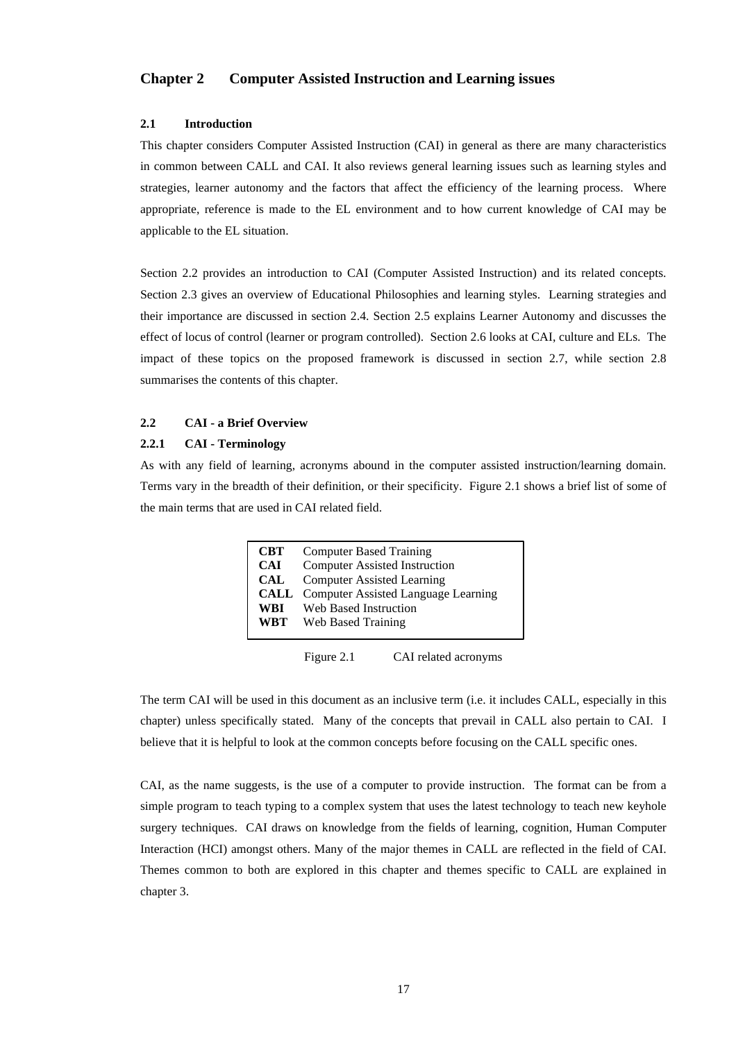# **Chapter 2 Computer Assisted Instruction and Learning issues**

## **2.1 Introduction**

This chapter considers Computer Assisted Instruction (CAI) in general as there are many characteristics in common between CALL and CAI. It also reviews general learning issues such as learning styles and strategies, learner autonomy and the factors that affect the efficiency of the learning process. Where appropriate, reference is made to the EL environment and to how current knowledge of CAI may be applicable to the EL situation.

Section 2.2 provides an introduction to CAI (Computer Assisted Instruction) and its related concepts. Section 2.3 gives an overview of Educational Philosophies and learning styles. Learning strategies and their importance are discussed in section 2.4. Section 2.5 explains Learner Autonomy and discusses the effect of locus of control (learner or program controlled). Section 2.6 looks at CAI, culture and ELs. The impact of these topics on the proposed framework is discussed in section 2.7, while section 2.8 summarises the contents of this chapter.

#### **2.2 CAI - a Brief Overview**

# **2.2.1 CAI - Terminology**

As with any field of learning, acronyms abound in the computer assisted instruction/learning domain. Terms vary in the breadth of their definition, or their specificity. Figure 2.1 shows a brief list of some of the main terms that are used in CAI related field.

| <b>CBT</b> | <b>Computer Based Training</b>                  |
|------------|-------------------------------------------------|
| <b>CAI</b> | <b>Computer Assisted Instruction</b>            |
| CAL        | <b>Computer Assisted Learning</b>               |
|            | <b>CALL</b> Computer Assisted Language Learning |
| WBI        | Web Based Instruction                           |
| WBT        | Web Based Training                              |
|            |                                                 |

Figure 2.1 CAI related acronyms

The term CAI will be used in this document as an inclusive term (i.e. it includes CALL, especially in this chapter) unless specifically stated. Many of the concepts that prevail in CALL also pertain to CAI. I believe that it is helpful to look at the common concepts before focusing on the CALL specific ones.

CAI, as the name suggests, is the use of a computer to provide instruction. The format can be from a simple program to teach typing to a complex system that uses the latest technology to teach new keyhole surgery techniques. CAI draws on knowledge from the fields of learning, cognition, Human Computer Interaction (HCI) amongst others. Many of the major themes in CALL are reflected in the field of CAI. Themes common to both are explored in this chapter and themes specific to CALL are explained in chapter 3.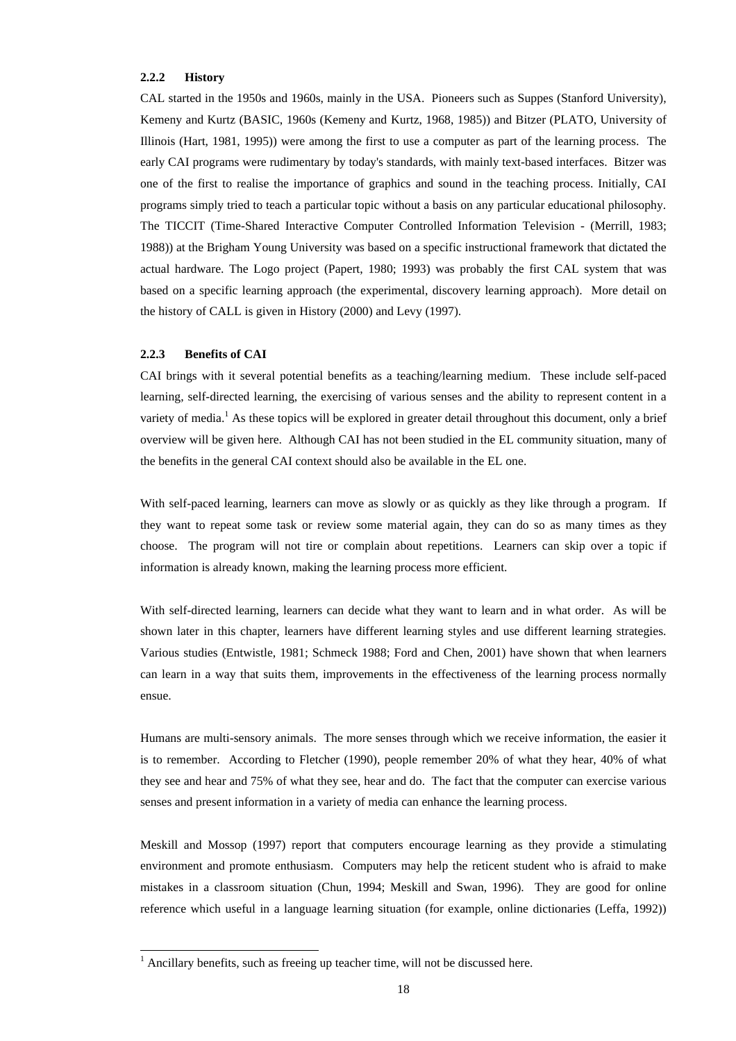## **2.2.2 History**

CAL started in the 1950s and 1960s, mainly in the USA. Pioneers such as Suppes (Stanford University), Kemeny and Kurtz (BASIC, 1960s (Kemeny and Kurtz, 1968, 1985)) and Bitzer (PLATO, University of Illinois (Hart, 1981, 1995)) were among the first to use a computer as part of the learning process. The early CAI programs were rudimentary by today's standards, with mainly text-based interfaces. Bitzer was one of the first to realise the importance of graphics and sound in the teaching process. Initially, CAI programs simply tried to teach a particular topic without a basis on any particular educational philosophy. The TICCIT (Time-Shared Interactive Computer Controlled Information Television - (Merrill, 1983; 1988)) at the Brigham Young University was based on a specific instructional framework that dictated the actual hardware. The Logo project (Papert, 1980; 1993) was probably the first CAL system that was based on a specific learning approach (the experimental, discovery learning approach). More detail on the history of CALL is given in History (2000) and Levy (1997).

#### **2.2.3 Benefits of CAI**

l

CAI brings with it several potential benefits as a teaching/learning medium. These include self-paced learning, self-directed learning, the exercising of various senses and the ability to represent content in a variety of media.<sup>1</sup> As these topics will be explored in greater detail throughout this document, only a brief overview will be given here. Although CAI has not been studied in the EL community situation, many of the benefits in the general CAI context should also be available in the EL one.

With self-paced learning, learners can move as slowly or as quickly as they like through a program. If they want to repeat some task or review some material again, they can do so as many times as they choose. The program will not tire or complain about repetitions. Learners can skip over a topic if information is already known, making the learning process more efficient.

With self-directed learning, learners can decide what they want to learn and in what order. As will be shown later in this chapter, learners have different learning styles and use different learning strategies. Various studies (Entwistle, 1981; Schmeck 1988; Ford and Chen, 2001) have shown that when learners can learn in a way that suits them, improvements in the effectiveness of the learning process normally ensue.

Humans are multi-sensory animals. The more senses through which we receive information, the easier it is to remember. According to Fletcher (1990), people remember 20% of what they hear, 40% of what they see and hear and 75% of what they see, hear and do. The fact that the computer can exercise various senses and present information in a variety of media can enhance the learning process.

Meskill and Mossop (1997) report that computers encourage learning as they provide a stimulating environment and promote enthusiasm. Computers may help the reticent student who is afraid to make mistakes in a classroom situation (Chun, 1994; Meskill and Swan, 1996). They are good for online reference which useful in a language learning situation (for example, online dictionaries (Leffa, 1992))

 $1$  Ancillary benefits, such as freeing up teacher time, will not be discussed here.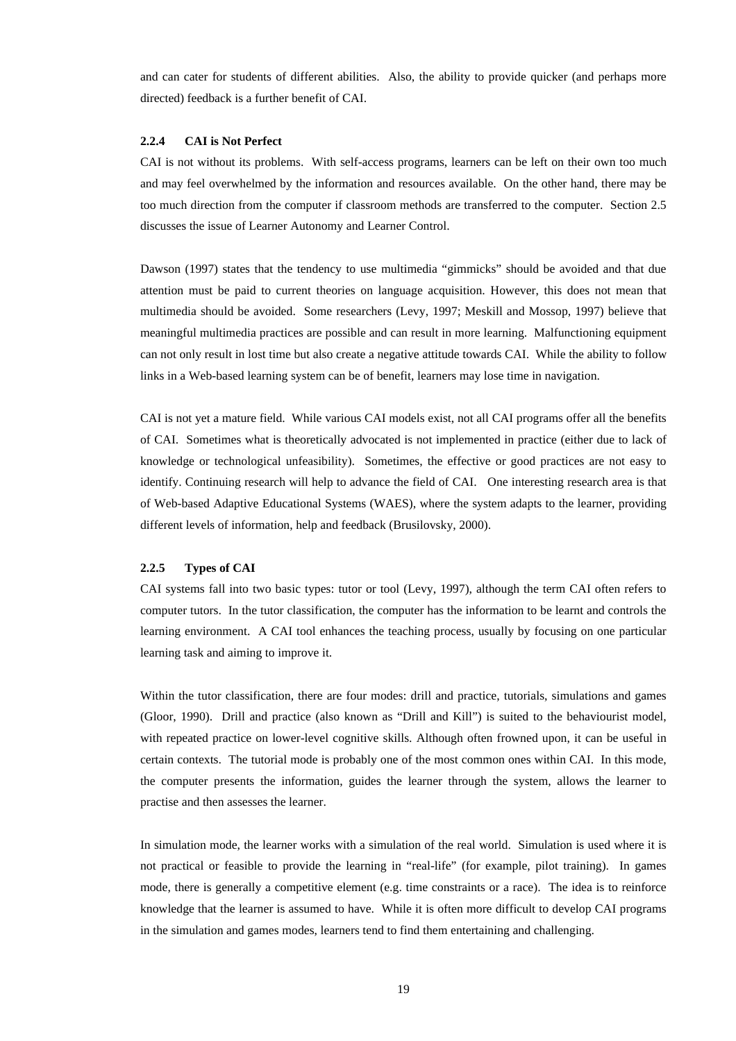and can cater for students of different abilities. Also, the ability to provide quicker (and perhaps more directed) feedback is a further benefit of CAI.

# **2.2.4 CAI is Not Perfect**

CAI is not without its problems. With self-access programs, learners can be left on their own too much and may feel overwhelmed by the information and resources available. On the other hand, there may be too much direction from the computer if classroom methods are transferred to the computer. Section 2.5 discusses the issue of Learner Autonomy and Learner Control.

Dawson (1997) states that the tendency to use multimedia "gimmicks" should be avoided and that due attention must be paid to current theories on language acquisition. However, this does not mean that multimedia should be avoided. Some researchers (Levy, 1997; Meskill and Mossop, 1997) believe that meaningful multimedia practices are possible and can result in more learning. Malfunctioning equipment can not only result in lost time but also create a negative attitude towards CAI. While the ability to follow links in a Web-based learning system can be of benefit, learners may lose time in navigation.

CAI is not yet a mature field. While various CAI models exist, not all CAI programs offer all the benefits of CAI. Sometimes what is theoretically advocated is not implemented in practice (either due to lack of knowledge or technological unfeasibility). Sometimes, the effective or good practices are not easy to identify. Continuing research will help to advance the field of CAI. One interesting research area is that of Web-based Adaptive Educational Systems (WAES), where the system adapts to the learner, providing different levels of information, help and feedback (Brusilovsky, 2000).

# **2.2.5 Types of CAI**

CAI systems fall into two basic types: tutor or tool (Levy, 1997), although the term CAI often refers to computer tutors. In the tutor classification, the computer has the information to be learnt and controls the learning environment. A CAI tool enhances the teaching process, usually by focusing on one particular learning task and aiming to improve it.

Within the tutor classification, there are four modes: drill and practice, tutorials, simulations and games (Gloor, 1990). Drill and practice (also known as "Drill and Kill") is suited to the behaviourist model, with repeated practice on lower-level cognitive skills. Although often frowned upon, it can be useful in certain contexts. The tutorial mode is probably one of the most common ones within CAI. In this mode, the computer presents the information, guides the learner through the system, allows the learner to practise and then assesses the learner.

In simulation mode, the learner works with a simulation of the real world. Simulation is used where it is not practical or feasible to provide the learning in "real-life" (for example, pilot training). In games mode, there is generally a competitive element (e.g. time constraints or a race). The idea is to reinforce knowledge that the learner is assumed to have. While it is often more difficult to develop CAI programs in the simulation and games modes, learners tend to find them entertaining and challenging.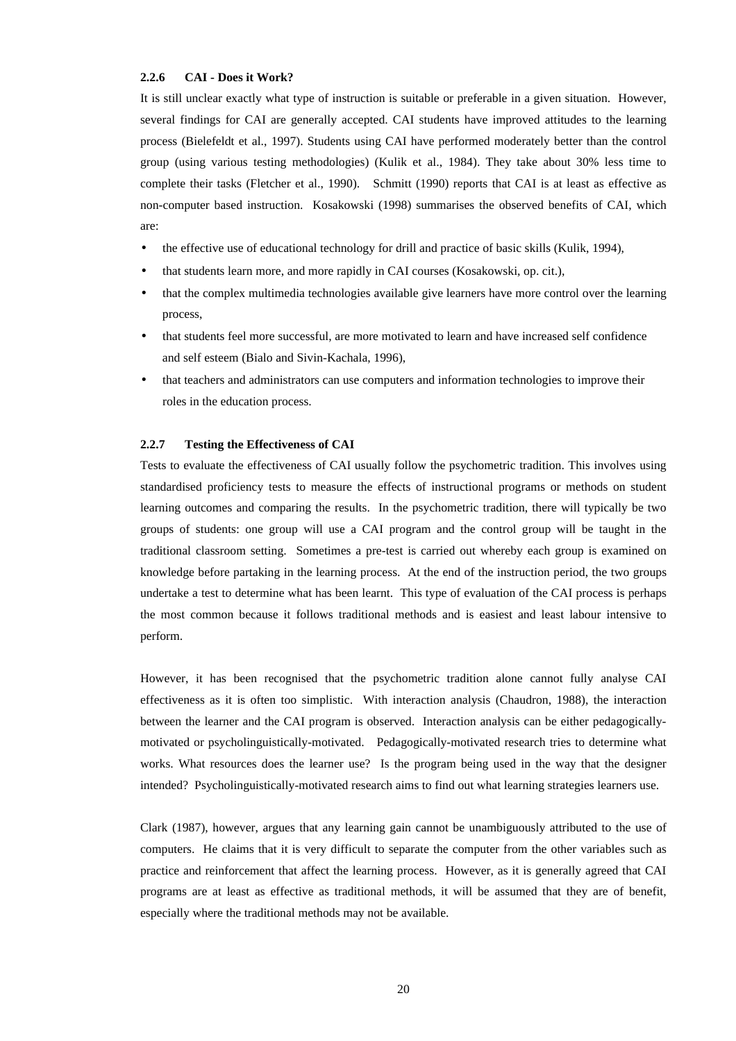### **2.2.6 CAI - Does it Work?**

It is still unclear exactly what type of instruction is suitable or preferable in a given situation. However, several findings for CAI are generally accepted. CAI students have improved attitudes to the learning process (Bielefeldt et al., 1997). Students using CAI have performed moderately better than the control group (using various testing methodologies) (Kulik et al., 1984). They take about 30% less time to complete their tasks (Fletcher et al., 1990). Schmitt (1990) reports that CAI is at least as effective as non-computer based instruction. Kosakowski (1998) summarises the observed benefits of CAI, which are:

- the effective use of educational technology for drill and practice of basic skills (Kulik, 1994),
- that students learn more, and more rapidly in CAI courses (Kosakowski, op. cit.),
- that the complex multimedia technologies available give learners have more control over the learning process,
- that students feel more successful, are more motivated to learn and have increased self confidence and self esteem (Bialo and Sivin-Kachala, 1996),
- that teachers and administrators can use computers and information technologies to improve their roles in the education process.

# **2.2.7 Testing the Effectiveness of CAI**

Tests to evaluate the effectiveness of CAI usually follow the psychometric tradition. This involves using standardised proficiency tests to measure the effects of instructional programs or methods on student learning outcomes and comparing the results. In the psychometric tradition, there will typically be two groups of students: one group will use a CAI program and the control group will be taught in the traditional classroom setting. Sometimes a pre-test is carried out whereby each group is examined on knowledge before partaking in the learning process. At the end of the instruction period, the two groups undertake a test to determine what has been learnt. This type of evaluation of the CAI process is perhaps the most common because it follows traditional methods and is easiest and least labour intensive to perform.

However, it has been recognised that the psychometric tradition alone cannot fully analyse CAI effectiveness as it is often too simplistic. With interaction analysis (Chaudron, 1988), the interaction between the learner and the CAI program is observed. Interaction analysis can be either pedagogicallymotivated or psycholinguistically-motivated. Pedagogically-motivated research tries to determine what works. What resources does the learner use? Is the program being used in the way that the designer intended? Psycholinguistically-motivated research aims to find out what learning strategies learners use.

Clark (1987), however, argues that any learning gain cannot be unambiguously attributed to the use of computers. He claims that it is very difficult to separate the computer from the other variables such as practice and reinforcement that affect the learning process. However, as it is generally agreed that CAI programs are at least as effective as traditional methods, it will be assumed that they are of benefit, especially where the traditional methods may not be available.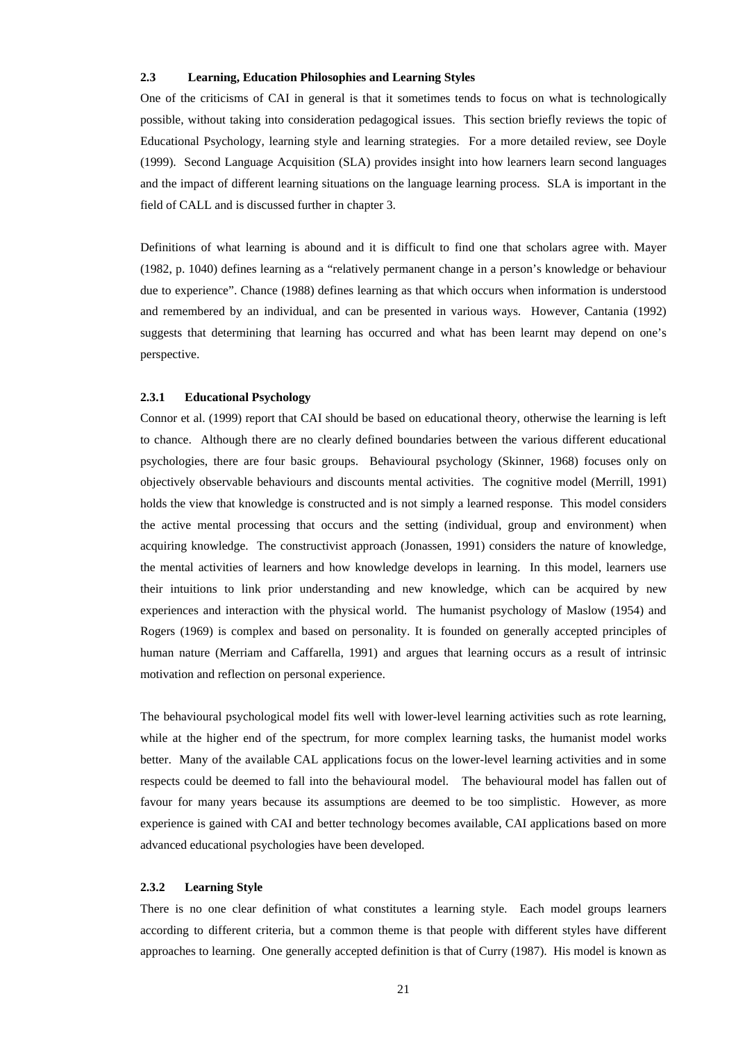# **2.3 Learning, Education Philosophies and Learning Styles**

One of the criticisms of CAI in general is that it sometimes tends to focus on what is technologically possible, without taking into consideration pedagogical issues. This section briefly reviews the topic of Educational Psychology, learning style and learning strategies. For a more detailed review, see Doyle (1999). Second Language Acquisition (SLA) provides insight into how learners learn second languages and the impact of different learning situations on the language learning process. SLA is important in the field of CALL and is discussed further in chapter 3.

Definitions of what learning is abound and it is difficult to find one that scholars agree with. Mayer (1982, p. 1040) defines learning as a "relatively permanent change in a person's knowledge or behaviour due to experience". Chance (1988) defines learning as that which occurs when information is understood and remembered by an individual, and can be presented in various ways. However, Cantania (1992) suggests that determining that learning has occurred and what has been learnt may depend on one's perspective.

# **2.3.1 Educational Psychology**

Connor et al. (1999) report that CAI should be based on educational theory, otherwise the learning is left to chance. Although there are no clearly defined boundaries between the various different educational psychologies, there are four basic groups. Behavioural psychology (Skinner, 1968) focuses only on objectively observable behaviours and discounts mental activities. The cognitive model (Merrill, 1991) holds the view that knowledge is constructed and is not simply a learned response. This model considers the active mental processing that occurs and the setting (individual, group and environment) when acquiring knowledge. The constructivist approach (Jonassen, 1991) considers the nature of knowledge, the mental activities of learners and how knowledge develops in learning. In this model, learners use their intuitions to link prior understanding and new knowledge, which can be acquired by new experiences and interaction with the physical world. The humanist psychology of Maslow (1954) and Rogers (1969) is complex and based on personality. It is founded on generally accepted principles of human nature (Merriam and Caffarella, 1991) and argues that learning occurs as a result of intrinsic motivation and reflection on personal experience.

The behavioural psychological model fits well with lower-level learning activities such as rote learning, while at the higher end of the spectrum, for more complex learning tasks, the humanist model works better. Many of the available CAL applications focus on the lower-level learning activities and in some respects could be deemed to fall into the behavioural model. The behavioural model has fallen out of favour for many years because its assumptions are deemed to be too simplistic. However, as more experience is gained with CAI and better technology becomes available, CAI applications based on more advanced educational psychologies have been developed.

### **2.3.2 Learning Style**

There is no one clear definition of what constitutes a learning style. Each model groups learners according to different criteria, but a common theme is that people with different styles have different approaches to learning. One generally accepted definition is that of Curry (1987). His model is known as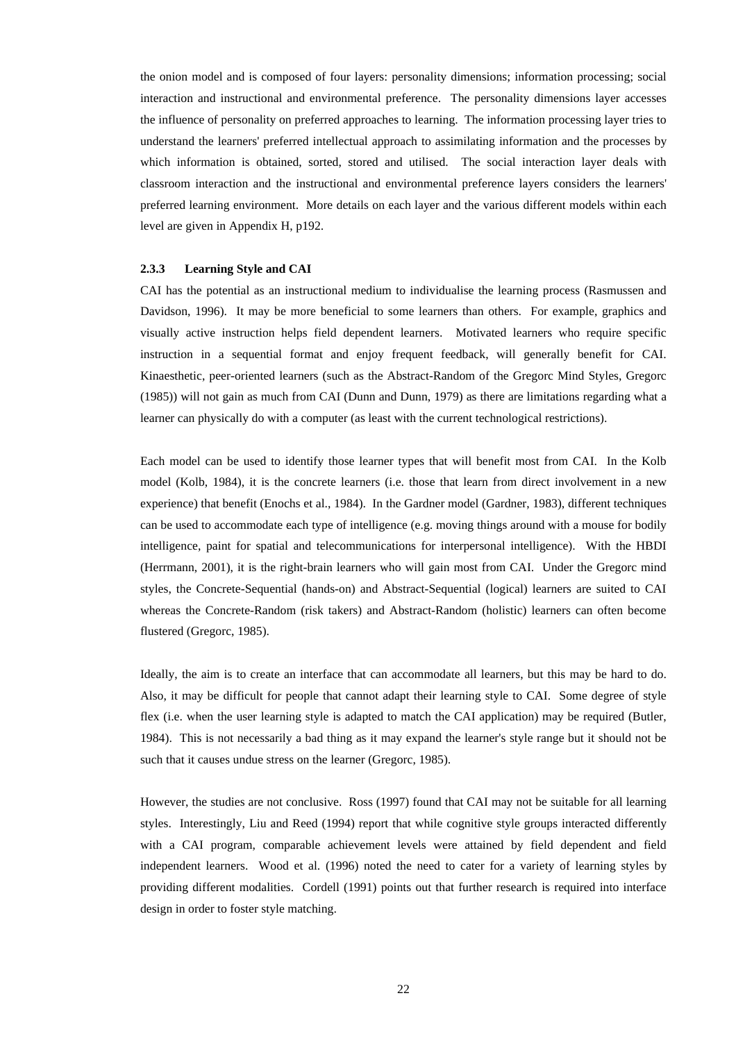the onion model and is composed of four layers: personality dimensions; information processing; social interaction and instructional and environmental preference. The personality dimensions layer accesses the influence of personality on preferred approaches to learning. The information processing layer tries to understand the learners' preferred intellectual approach to assimilating information and the processes by which information is obtained, sorted, stored and utilised. The social interaction layer deals with classroom interaction and the instructional and environmental preference layers considers the learners' preferred learning environment. More details on each layer and the various different models within each level are given in Appendix H, p192.

# **2.3.3 Learning Style and CAI**

CAI has the potential as an instructional medium to individualise the learning process (Rasmussen and Davidson, 1996). It may be more beneficial to some learners than others. For example, graphics and visually active instruction helps field dependent learners. Motivated learners who require specific instruction in a sequential format and enjoy frequent feedback, will generally benefit for CAI. Kinaesthetic, peer-oriented learners (such as the Abstract-Random of the Gregorc Mind Styles, Gregorc (1985)) will not gain as much from CAI (Dunn and Dunn, 1979) as there are limitations regarding what a learner can physically do with a computer (as least with the current technological restrictions).

Each model can be used to identify those learner types that will benefit most from CAI. In the Kolb model (Kolb, 1984), it is the concrete learners (i.e. those that learn from direct involvement in a new experience) that benefit (Enochs et al., 1984). In the Gardner model (Gardner, 1983), different techniques can be used to accommodate each type of intelligence (e.g. moving things around with a mouse for bodily intelligence, paint for spatial and telecommunications for interpersonal intelligence). With the HBDI (Herrmann, 2001), it is the right-brain learners who will gain most from CAI. Under the Gregorc mind styles, the Concrete-Sequential (hands-on) and Abstract-Sequential (logical) learners are suited to CAI whereas the Concrete-Random (risk takers) and Abstract-Random (holistic) learners can often become flustered (Gregorc, 1985).

Ideally, the aim is to create an interface that can accommodate all learners, but this may be hard to do. Also, it may be difficult for people that cannot adapt their learning style to CAI. Some degree of style flex (i.e. when the user learning style is adapted to match the CAI application) may be required (Butler, 1984). This is not necessarily a bad thing as it may expand the learner's style range but it should not be such that it causes undue stress on the learner (Gregorc, 1985).

However, the studies are not conclusive. Ross (1997) found that CAI may not be suitable for all learning styles. Interestingly, Liu and Reed (1994) report that while cognitive style groups interacted differently with a CAI program, comparable achievement levels were attained by field dependent and field independent learners. Wood et al. (1996) noted the need to cater for a variety of learning styles by providing different modalities. Cordell (1991) points out that further research is required into interface design in order to foster style matching.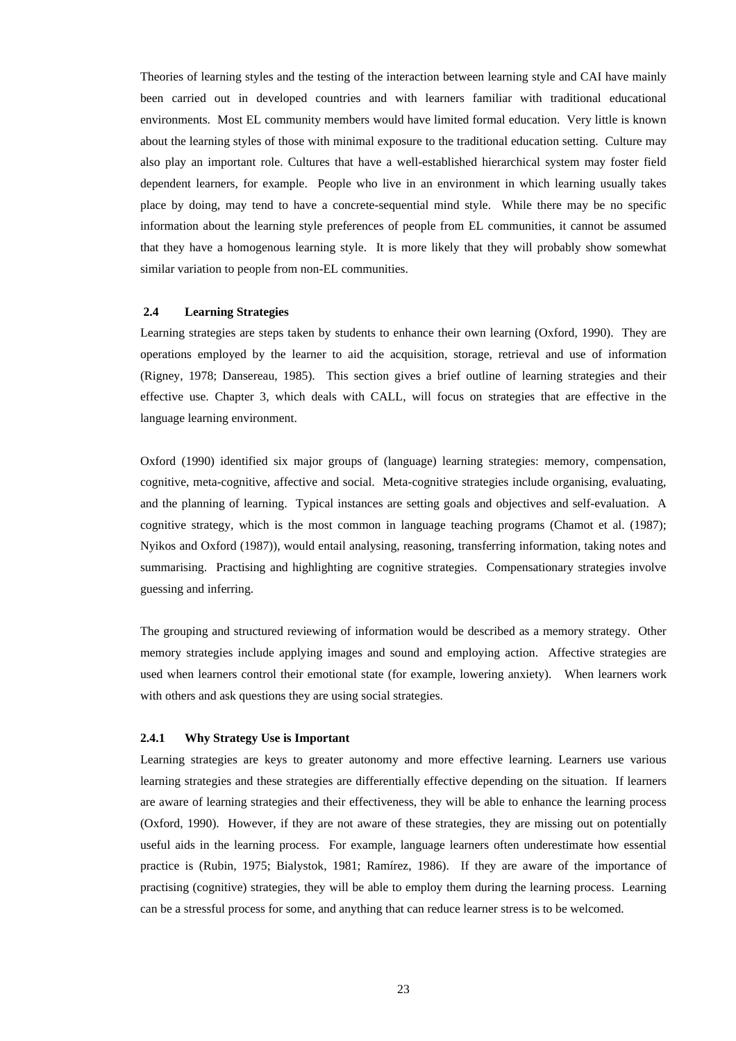Theories of learning styles and the testing of the interaction between learning style and CAI have mainly been carried out in developed countries and with learners familiar with traditional educational environments. Most EL community members would have limited formal education. Very little is known about the learning styles of those with minimal exposure to the traditional education setting. Culture may also play an important role. Cultures that have a well-established hierarchical system may foster field dependent learners, for example. People who live in an environment in which learning usually takes place by doing, may tend to have a concrete-sequential mind style. While there may be no specific information about the learning style preferences of people from EL communities, it cannot be assumed that they have a homogenous learning style. It is more likely that they will probably show somewhat similar variation to people from non-EL communities.

#### **2.4 Learning Strategies**

Learning strategies are steps taken by students to enhance their own learning (Oxford, 1990). They are operations employed by the learner to aid the acquisition, storage, retrieval and use of information (Rigney, 1978; Dansereau, 1985). This section gives a brief outline of learning strategies and their effective use. Chapter 3, which deals with CALL, will focus on strategies that are effective in the language learning environment.

Oxford (1990) identified six major groups of (language) learning strategies: memory, compensation, cognitive, meta-cognitive, affective and social. Meta-cognitive strategies include organising, evaluating, and the planning of learning. Typical instances are setting goals and objectives and self-evaluation. A cognitive strategy, which is the most common in language teaching programs (Chamot et al. (1987); Nyikos and Oxford (1987)), would entail analysing, reasoning, transferring information, taking notes and summarising. Practising and highlighting are cognitive strategies. Compensationary strategies involve guessing and inferring.

The grouping and structured reviewing of information would be described as a memory strategy. Other memory strategies include applying images and sound and employing action. Affective strategies are used when learners control their emotional state (for example, lowering anxiety). When learners work with others and ask questions they are using social strategies.

#### **2.4.1 Why Strategy Use is Important**

Learning strategies are keys to greater autonomy and more effective learning. Learners use various learning strategies and these strategies are differentially effective depending on the situation. If learners are aware of learning strategies and their effectiveness, they will be able to enhance the learning process (Oxford, 1990). However, if they are not aware of these strategies, they are missing out on potentially useful aids in the learning process. For example, language learners often underestimate how essential practice is (Rubin, 1975; Bialystok, 1981; Ramírez, 1986). If they are aware of the importance of practising (cognitive) strategies, they will be able to employ them during the learning process. Learning can be a stressful process for some, and anything that can reduce learner stress is to be welcomed.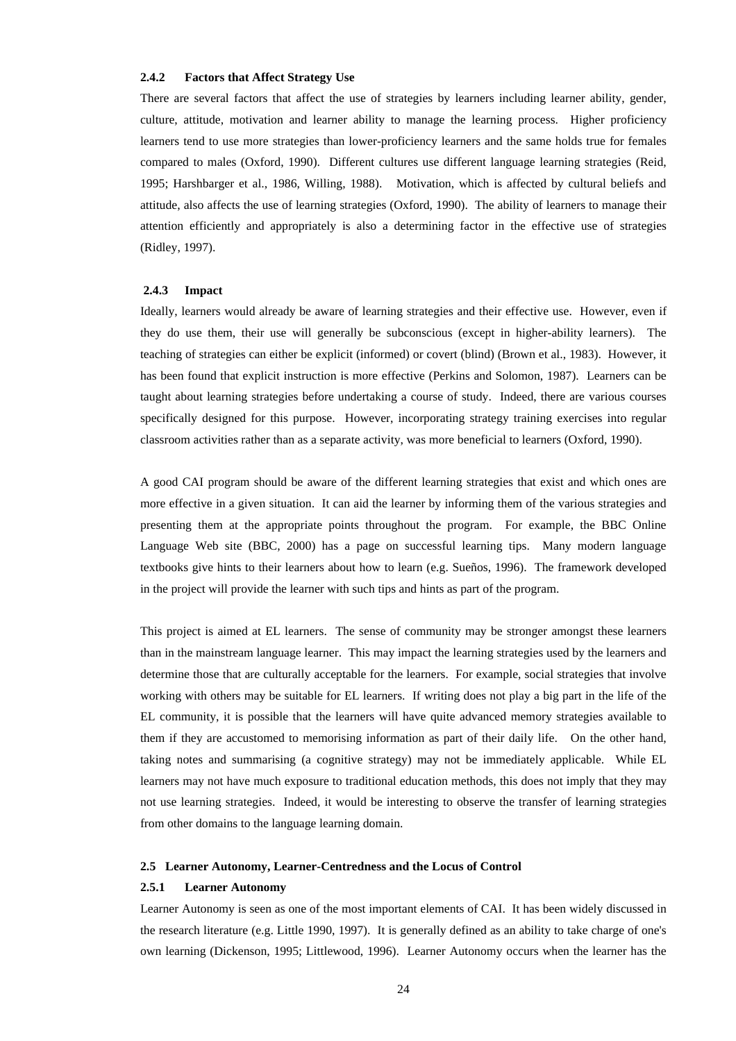### **2.4.2 Factors that Affect Strategy Use**

There are several factors that affect the use of strategies by learners including learner ability, gender, culture, attitude, motivation and learner ability to manage the learning process. Higher proficiency learners tend to use more strategies than lower-proficiency learners and the same holds true for females compared to males (Oxford, 1990). Different cultures use different language learning strategies (Reid, 1995; Harshbarger et al., 1986, Willing, 1988). Motivation, which is affected by cultural beliefs and attitude, also affects the use of learning strategies (Oxford, 1990). The ability of learners to manage their attention efficiently and appropriately is also a determining factor in the effective use of strategies (Ridley, 1997).

### **2.4.3 Impact**

Ideally, learners would already be aware of learning strategies and their effective use. However, even if they do use them, their use will generally be subconscious (except in higher-ability learners). The teaching of strategies can either be explicit (informed) or covert (blind) (Brown et al., 1983). However, it has been found that explicit instruction is more effective (Perkins and Solomon, 1987). Learners can be taught about learning strategies before undertaking a course of study. Indeed, there are various courses specifically designed for this purpose. However, incorporating strategy training exercises into regular classroom activities rather than as a separate activity, was more beneficial to learners (Oxford, 1990).

A good CAI program should be aware of the different learning strategies that exist and which ones are more effective in a given situation. It can aid the learner by informing them of the various strategies and presenting them at the appropriate points throughout the program. For example, the BBC Online Language Web site (BBC, 2000) has a page on successful learning tips. Many modern language textbooks give hints to their learners about how to learn (e.g. Sueños, 1996). The framework developed in the project will provide the learner with such tips and hints as part of the program.

This project is aimed at EL learners. The sense of community may be stronger amongst these learners than in the mainstream language learner. This may impact the learning strategies used by the learners and determine those that are culturally acceptable for the learners. For example, social strategies that involve working with others may be suitable for EL learners. If writing does not play a big part in the life of the EL community, it is possible that the learners will have quite advanced memory strategies available to them if they are accustomed to memorising information as part of their daily life. On the other hand, taking notes and summarising (a cognitive strategy) may not be immediately applicable. While EL learners may not have much exposure to traditional education methods, this does not imply that they may not use learning strategies. Indeed, it would be interesting to observe the transfer of learning strategies from other domains to the language learning domain.

#### **2.5 Learner Autonomy, Learner-Centredness and the Locus of Control**

#### **2.5.1 Learner Autonomy**

Learner Autonomy is seen as one of the most important elements of CAI. It has been widely discussed in the research literature (e.g. Little 1990, 1997). It is generally defined as an ability to take charge of one's own learning (Dickenson, 1995; Littlewood, 1996). Learner Autonomy occurs when the learner has the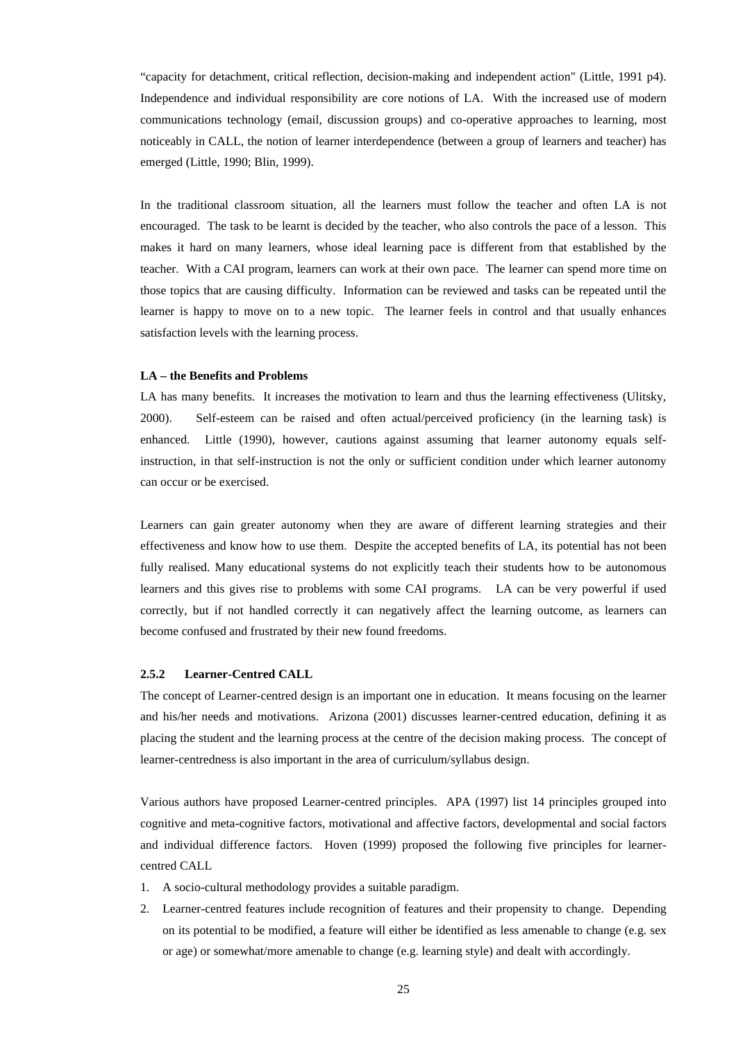"capacity for detachment, critical reflection, decision-making and independent action" (Little, 1991 p4). Independence and individual responsibility are core notions of LA. With the increased use of modern communications technology (email, discussion groups) and co-operative approaches to learning, most noticeably in CALL, the notion of learner interdependence (between a group of learners and teacher) has emerged (Little, 1990; Blin, 1999).

In the traditional classroom situation, all the learners must follow the teacher and often LA is not encouraged. The task to be learnt is decided by the teacher, who also controls the pace of a lesson. This makes it hard on many learners, whose ideal learning pace is different from that established by the teacher. With a CAI program, learners can work at their own pace. The learner can spend more time on those topics that are causing difficulty. Information can be reviewed and tasks can be repeated until the learner is happy to move on to a new topic. The learner feels in control and that usually enhances satisfaction levels with the learning process.

## **LA – the Benefits and Problems**

LA has many benefits. It increases the motivation to learn and thus the learning effectiveness (Ulitsky, 2000). Self-esteem can be raised and often actual/perceived proficiency (in the learning task) is enhanced. Little (1990), however, cautions against assuming that learner autonomy equals selfinstruction, in that self-instruction is not the only or sufficient condition under which learner autonomy can occur or be exercised.

Learners can gain greater autonomy when they are aware of different learning strategies and their effectiveness and know how to use them. Despite the accepted benefits of LA, its potential has not been fully realised. Many educational systems do not explicitly teach their students how to be autonomous learners and this gives rise to problems with some CAI programs. LA can be very powerful if used correctly, but if not handled correctly it can negatively affect the learning outcome, as learners can become confused and frustrated by their new found freedoms.

# **2.5.2 Learner-Centred CALL**

The concept of Learner-centred design is an important one in education. It means focusing on the learner and his/her needs and motivations. Arizona (2001) discusses learner-centred education, defining it as placing the student and the learning process at the centre of the decision making process. The concept of learner-centredness is also important in the area of curriculum/syllabus design.

Various authors have proposed Learner-centred principles. APA (1997) list 14 principles grouped into cognitive and meta-cognitive factors, motivational and affective factors, developmental and social factors and individual difference factors. Hoven (1999) proposed the following five principles for learnercentred CALL

- 1. A socio-cultural methodology provides a suitable paradigm.
- 2. Learner-centred features include recognition of features and their propensity to change. Depending on its potential to be modified, a feature will either be identified as less amenable to change (e.g. sex or age) or somewhat/more amenable to change (e.g. learning style) and dealt with accordingly.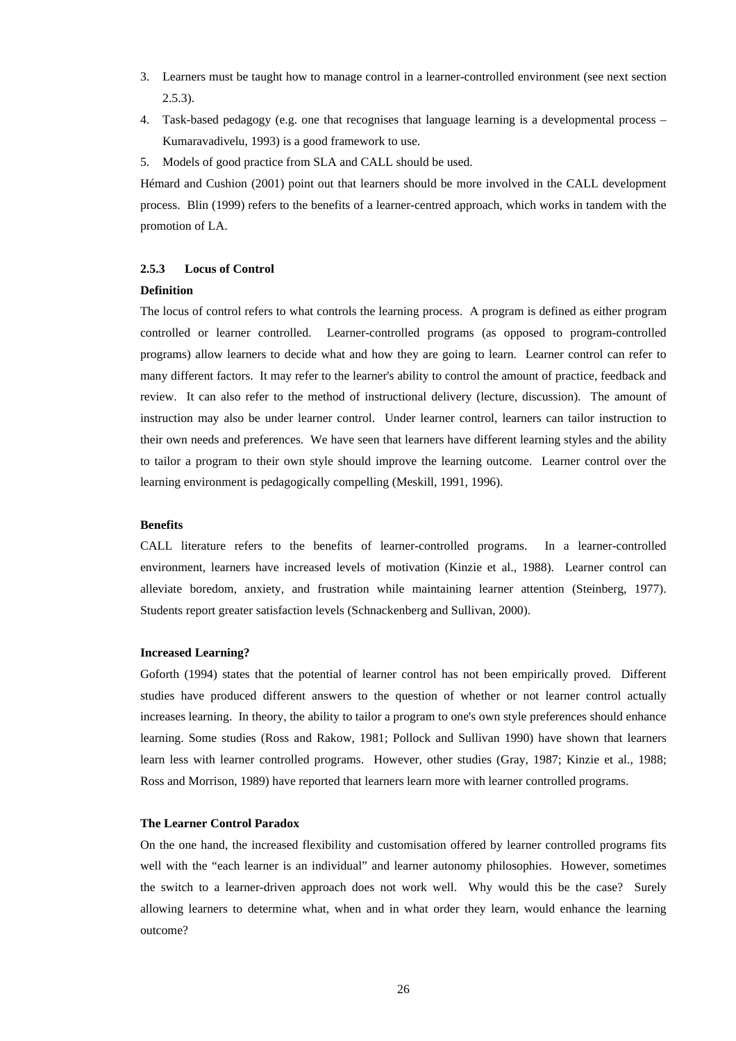- 3. Learners must be taught how to manage control in a learner-controlled environment (see next section 2.5.3).
- 4. Task-based pedagogy (e.g. one that recognises that language learning is a developmental process Kumaravadivelu, 1993) is a good framework to use.
- 5. Models of good practice from SLA and CALL should be used.

Hémard and Cushion (2001) point out that learners should be more involved in the CALL development process. Blin (1999) refers to the benefits of a learner-centred approach, which works in tandem with the promotion of LA.

# **2.5.3 Locus of Control**

### **Definition**

The locus of control refers to what controls the learning process. A program is defined as either program controlled or learner controlled. Learner-controlled programs (as opposed to program-controlled programs) allow learners to decide what and how they are going to learn. Learner control can refer to many different factors. It may refer to the learner's ability to control the amount of practice, feedback and review. It can also refer to the method of instructional delivery (lecture, discussion). The amount of instruction may also be under learner control. Under learner control, learners can tailor instruction to their own needs and preferences. We have seen that learners have different learning styles and the ability to tailor a program to their own style should improve the learning outcome. Learner control over the learning environment is pedagogically compelling (Meskill, 1991, 1996).

# **Benefits**

CALL literature refers to the benefits of learner-controlled programs. In a learner-controlled environment, learners have increased levels of motivation (Kinzie et al., 1988). Learner control can alleviate boredom, anxiety, and frustration while maintaining learner attention (Steinberg, 1977). Students report greater satisfaction levels (Schnackenberg and Sullivan, 2000).

#### **Increased Learning?**

Goforth (1994) states that the potential of learner control has not been empirically proved. Different studies have produced different answers to the question of whether or not learner control actually increases learning. In theory, the ability to tailor a program to one's own style preferences should enhance learning. Some studies (Ross and Rakow, 1981; Pollock and Sullivan 1990) have shown that learners learn less with learner controlled programs. However, other studies (Gray, 1987; Kinzie et al., 1988; Ross and Morrison, 1989) have reported that learners learn more with learner controlled programs.

### **The Learner Control Paradox**

On the one hand, the increased flexibility and customisation offered by learner controlled programs fits well with the "each learner is an individual" and learner autonomy philosophies. However, sometimes the switch to a learner-driven approach does not work well. Why would this be the case? Surely allowing learners to determine what, when and in what order they learn, would enhance the learning outcome?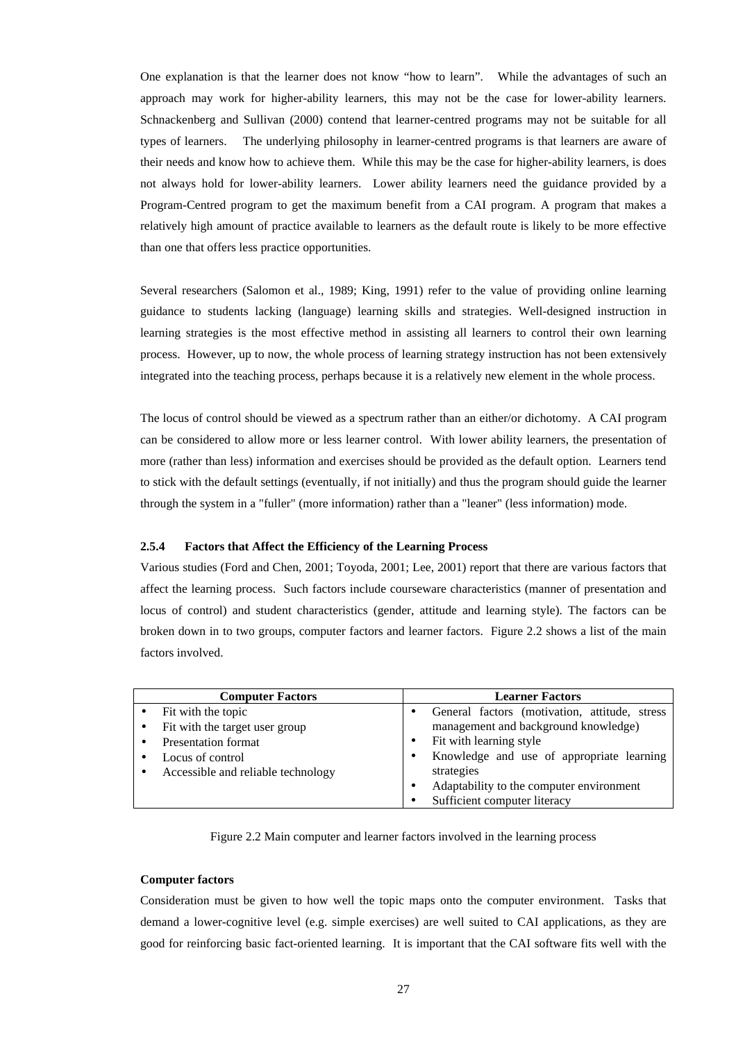One explanation is that the learner does not know "how to learn". While the advantages of such an approach may work for higher-ability learners, this may not be the case for lower-ability learners. Schnackenberg and Sullivan (2000) contend that learner-centred programs may not be suitable for all types of learners. The underlying philosophy in learner-centred programs is that learners are aware of their needs and know how to achieve them. While this may be the case for higher-ability learners, is does not always hold for lower-ability learners. Lower ability learners need the guidance provided by a Program-Centred program to get the maximum benefit from a CAI program. A program that makes a relatively high amount of practice available to learners as the default route is likely to be more effective than one that offers less practice opportunities.

Several researchers (Salomon et al., 1989; King, 1991) refer to the value of providing online learning guidance to students lacking (language) learning skills and strategies. Well-designed instruction in learning strategies is the most effective method in assisting all learners to control their own learning process. However, up to now, the whole process of learning strategy instruction has not been extensively integrated into the teaching process, perhaps because it is a relatively new element in the whole process.

The locus of control should be viewed as a spectrum rather than an either/or dichotomy. A CAI program can be considered to allow more or less learner control. With lower ability learners, the presentation of more (rather than less) information and exercises should be provided as the default option. Learners tend to stick with the default settings (eventually, if not initially) and thus the program should guide the learner through the system in a "fuller" (more information) rather than a "leaner" (less information) mode.

# **2.5.4 Factors that Affect the Efficiency of the Learning Process**

Various studies (Ford and Chen, 2001; Toyoda, 2001; Lee, 2001) report that there are various factors that affect the learning process. Such factors include courseware characteristics (manner of presentation and locus of control) and student characteristics (gender, attitude and learning style). The factors can be broken down in to two groups, computer factors and learner factors. Figure 2.2 shows a list of the main factors involved.

| <b>Computer Factors</b>            | <b>Learner Factors</b>                        |
|------------------------------------|-----------------------------------------------|
| Fit with the topic                 | General factors (motivation, attitude, stress |
| Fit with the target user group     | management and background knowledge)          |
| <b>Presentation format</b>         | Fit with learning style                       |
| Locus of control                   | Knowledge and use of appropriate learning     |
| Accessible and reliable technology | strategies                                    |
|                                    | Adaptability to the computer environment      |
|                                    | Sufficient computer literacy                  |

Figure 2.2 Main computer and learner factors involved in the learning process

### **Computer factors**

Consideration must be given to how well the topic maps onto the computer environment. Tasks that demand a lower-cognitive level (e.g. simple exercises) are well suited to CAI applications, as they are good for reinforcing basic fact-oriented learning. It is important that the CAI software fits well with the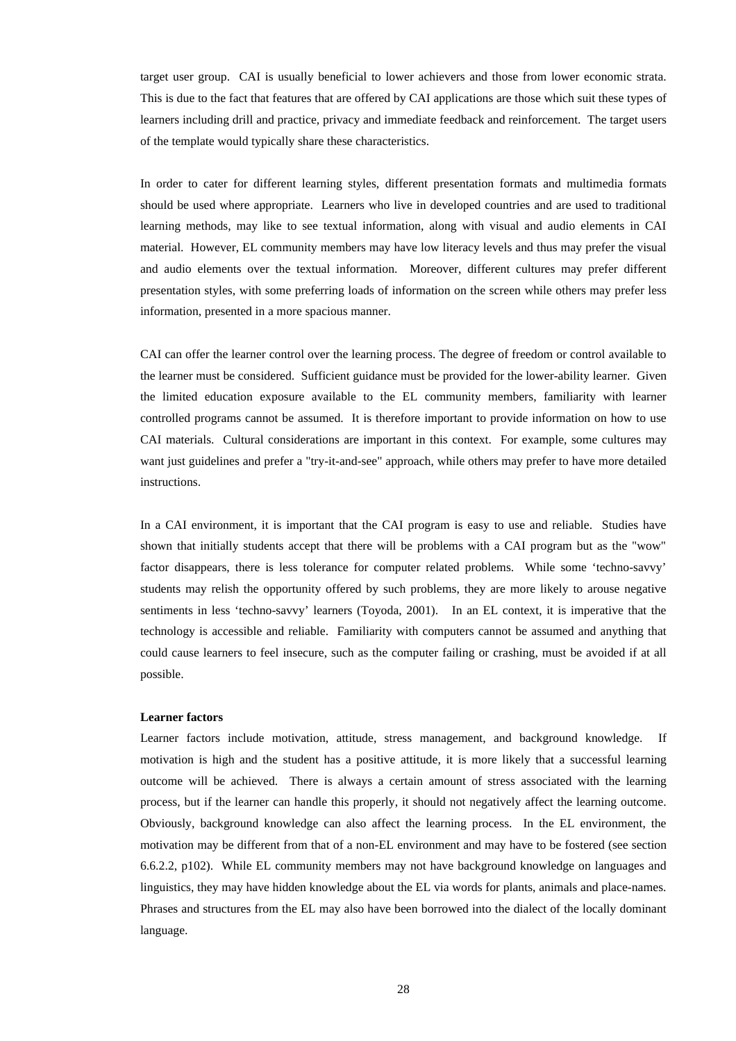target user group. CAI is usually beneficial to lower achievers and those from lower economic strata. This is due to the fact that features that are offered by CAI applications are those which suit these types of learners including drill and practice, privacy and immediate feedback and reinforcement. The target users of the template would typically share these characteristics.

In order to cater for different learning styles, different presentation formats and multimedia formats should be used where appropriate. Learners who live in developed countries and are used to traditional learning methods, may like to see textual information, along with visual and audio elements in CAI material. However, EL community members may have low literacy levels and thus may prefer the visual and audio elements over the textual information. Moreover, different cultures may prefer different presentation styles, with some preferring loads of information on the screen while others may prefer less information, presented in a more spacious manner.

CAI can offer the learner control over the learning process. The degree of freedom or control available to the learner must be considered. Sufficient guidance must be provided for the lower-ability learner. Given the limited education exposure available to the EL community members, familiarity with learner controlled programs cannot be assumed. It is therefore important to provide information on how to use CAI materials. Cultural considerations are important in this context. For example, some cultures may want just guidelines and prefer a "try-it-and-see" approach, while others may prefer to have more detailed instructions.

In a CAI environment, it is important that the CAI program is easy to use and reliable. Studies have shown that initially students accept that there will be problems with a CAI program but as the "wow" factor disappears, there is less tolerance for computer related problems. While some 'techno-savvy' students may relish the opportunity offered by such problems, they are more likely to arouse negative sentiments in less 'techno-savvy' learners (Toyoda, 2001). In an EL context, it is imperative that the technology is accessible and reliable. Familiarity with computers cannot be assumed and anything that could cause learners to feel insecure, such as the computer failing or crashing, must be avoided if at all possible.

#### **Learner factors**

Learner factors include motivation, attitude, stress management, and background knowledge. If motivation is high and the student has a positive attitude, it is more likely that a successful learning outcome will be achieved. There is always a certain amount of stress associated with the learning process, but if the learner can handle this properly, it should not negatively affect the learning outcome. Obviously, background knowledge can also affect the learning process. In the EL environment, the motivation may be different from that of a non-EL environment and may have to be fostered (see section 6.6.2.2, p102). While EL community members may not have background knowledge on languages and linguistics, they may have hidden knowledge about the EL via words for plants, animals and place-names. Phrases and structures from the EL may also have been borrowed into the dialect of the locally dominant language.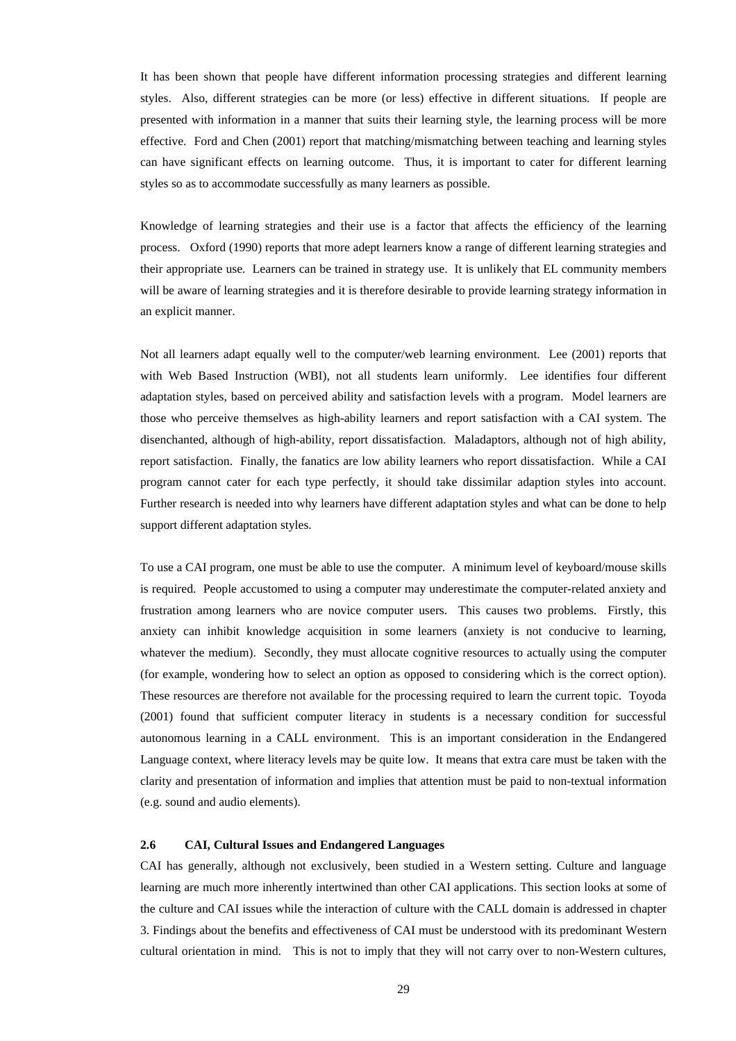It has been shown that people have different information processing strategies and different learning styles. Also, different strategies can be more (or less) effective in different situations. If people are presented with information in a manner that suits their learning style, the learning process will be more effective. Ford and Chen (2001) report that matching/mismatching between teaching and learning styles can have significant effects on learning outcome. Thus, it is important to cater for different learning styles so as to accommodate successfully as many learners as possible.

Knowledge of learning strategies and their use is a factor that affects the efficiency of the learning process. Oxford (1990) reports that more adept learners know a range of different learning strategies and their appropriate use. Learners can be trained in strategy use. It is unlikely that EL community members will be aware of learning strategies and it is therefore desirable to provide learning strategy information in an explicit manner.

Not all learners adapt equally well to the computer/web learning environment. Lee (2001) reports that with Web Based Instruction (WBI), not all students learn uniformly. Lee identifies four different adaptation styles, based on perceived ability and satisfaction levels with a program. Model learners are those who perceive themselves as high-ability learners and report satisfaction with a CAI system. The disenchanted, although of high-ability, report dissatisfaction. Maladaptors, although not of high ability, report satisfaction. Finally, the fanatics are low ability learners who report dissatisfaction. While a CAI program cannot cater for each type perfectly, it should take dissimilar adaption styles into account. Further research is needed into why learners have different adaptation styles and what can be done to help support different adaptation styles.

To use a CAI program, one must be able to use the computer. A minimum level of keyboard/mouse skills is required. People accustomed to using a computer may underestimate the computer-related anxiety and frustration among learners who are novice computer users. This causes two problems. Firstly, this anxiety can inhibit knowledge acquisition in some learners (anxiety is not conducive to learning, whatever the medium). Secondly, they must allocate cognitive resources to actually using the computer (for example, wondering how to select an option as opposed to considering which is the correct option). These resources are therefore not available for the processing required to learn the current topic. Toyoda (2001) found that sufficient computer literacy in students is a necessary condition for successful autonomous learning in a CALL environment. This is an important consideration in the Endangered Language context, where literacy levels may be quite low. It means that extra care must be taken with the clarity and presentation of information and implies that attention must be paid to non-textual information (e.g. sound and audio elements).

# **2.6 CAI, Cultural Issues and Endangered Languages**

CAI has generally, although not exclusively, been studied in a Western setting. Culture and language learning are much more inherently intertwined than other CAI applications. This section looks at some of the culture and CAI issues while the interaction of culture with the CALL domain is addressed in chapter 3. Findings about the benefits and effectiveness of CAI must be understood with its predominant Western cultural orientation in mind. This is not to imply that they will not carry over to non-Western cultures,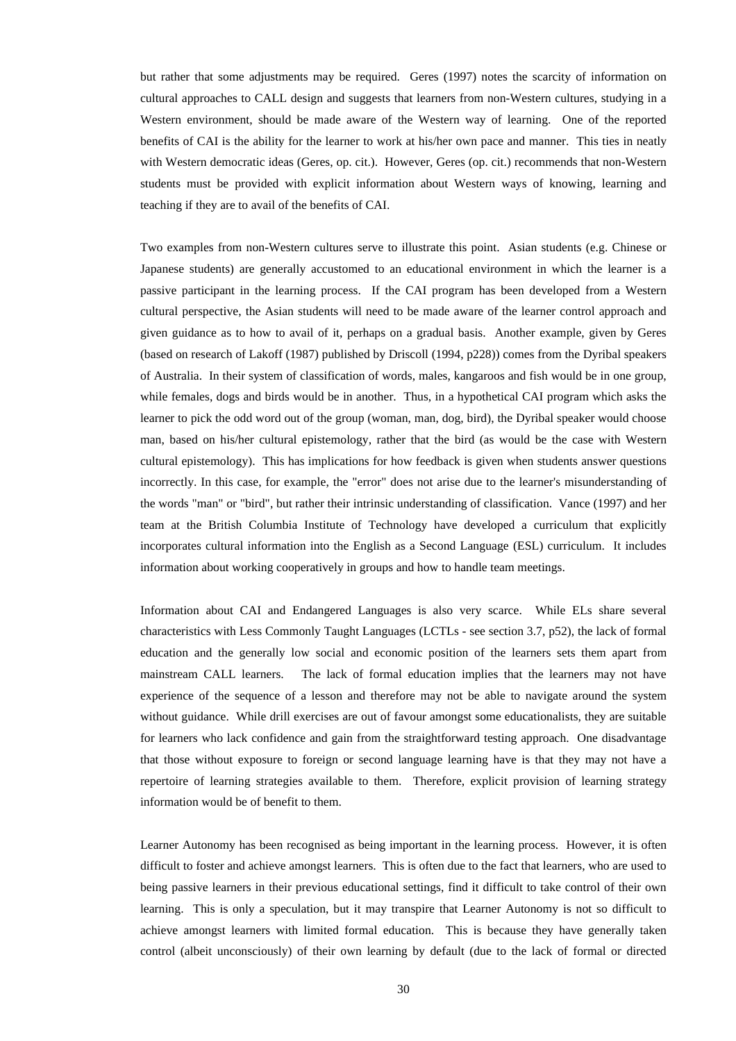but rather that some adjustments may be required. Geres (1997) notes the scarcity of information on cultural approaches to CALL design and suggests that learners from non-Western cultures, studying in a Western environment, should be made aware of the Western way of learning. One of the reported benefits of CAI is the ability for the learner to work at his/her own pace and manner. This ties in neatly with Western democratic ideas (Geres, op. cit.). However, Geres (op. cit.) recommends that non-Western students must be provided with explicit information about Western ways of knowing, learning and teaching if they are to avail of the benefits of CAI.

Two examples from non-Western cultures serve to illustrate this point. Asian students (e.g. Chinese or Japanese students) are generally accustomed to an educational environment in which the learner is a passive participant in the learning process. If the CAI program has been developed from a Western cultural perspective, the Asian students will need to be made aware of the learner control approach and given guidance as to how to avail of it, perhaps on a gradual basis. Another example, given by Geres (based on research of Lakoff (1987) published by Driscoll (1994, p228)) comes from the Dyribal speakers of Australia. In their system of classification of words, males, kangaroos and fish would be in one group, while females, dogs and birds would be in another. Thus, in a hypothetical CAI program which asks the learner to pick the odd word out of the group (woman, man, dog, bird), the Dyribal speaker would choose man, based on his/her cultural epistemology, rather that the bird (as would be the case with Western cultural epistemology). This has implications for how feedback is given when students answer questions incorrectly. In this case, for example, the "error" does not arise due to the learner's misunderstanding of the words "man" or "bird", but rather their intrinsic understanding of classification. Vance (1997) and her team at the British Columbia Institute of Technology have developed a curriculum that explicitly incorporates cultural information into the English as a Second Language (ESL) curriculum. It includes information about working cooperatively in groups and how to handle team meetings.

Information about CAI and Endangered Languages is also very scarce. While ELs share several characteristics with Less Commonly Taught Languages (LCTLs - see section 3.7, p52), the lack of formal education and the generally low social and economic position of the learners sets them apart from mainstream CALL learners. The lack of formal education implies that the learners may not have experience of the sequence of a lesson and therefore may not be able to navigate around the system without guidance. While drill exercises are out of favour amongst some educationalists, they are suitable for learners who lack confidence and gain from the straightforward testing approach. One disadvantage that those without exposure to foreign or second language learning have is that they may not have a repertoire of learning strategies available to them. Therefore, explicit provision of learning strategy information would be of benefit to them.

Learner Autonomy has been recognised as being important in the learning process. However, it is often difficult to foster and achieve amongst learners. This is often due to the fact that learners, who are used to being passive learners in their previous educational settings, find it difficult to take control of their own learning. This is only a speculation, but it may transpire that Learner Autonomy is not so difficult to achieve amongst learners with limited formal education. This is because they have generally taken control (albeit unconsciously) of their own learning by default (due to the lack of formal or directed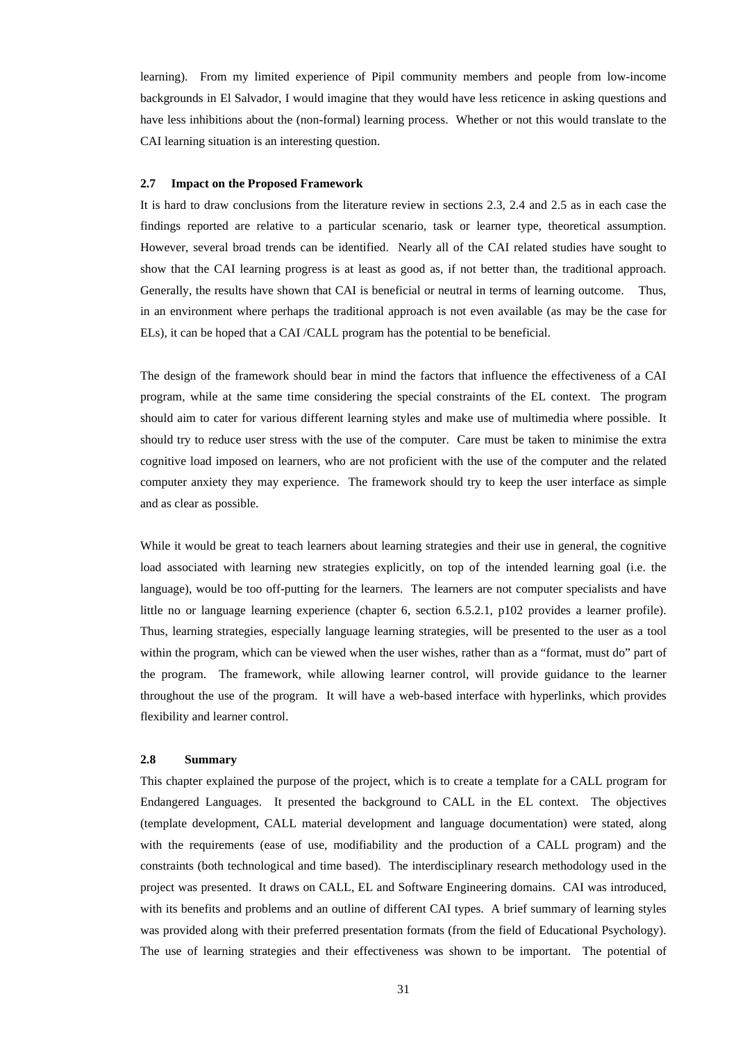learning). From my limited experience of Pipil community members and people from low-income backgrounds in El Salvador, I would imagine that they would have less reticence in asking questions and have less inhibitions about the (non-formal) learning process. Whether or not this would translate to the CAI learning situation is an interesting question.

### **2.7 Impact on the Proposed Framework**

It is hard to draw conclusions from the literature review in sections 2.3, 2.4 and 2.5 as in each case the findings reported are relative to a particular scenario, task or learner type, theoretical assumption. However, several broad trends can be identified. Nearly all of the CAI related studies have sought to show that the CAI learning progress is at least as good as, if not better than, the traditional approach. Generally, the results have shown that CAI is beneficial or neutral in terms of learning outcome. Thus, in an environment where perhaps the traditional approach is not even available (as may be the case for ELs), it can be hoped that a CAI /CALL program has the potential to be beneficial.

The design of the framework should bear in mind the factors that influence the effectiveness of a CAI program, while at the same time considering the special constraints of the EL context. The program should aim to cater for various different learning styles and make use of multimedia where possible. It should try to reduce user stress with the use of the computer. Care must be taken to minimise the extra cognitive load imposed on learners, who are not proficient with the use of the computer and the related computer anxiety they may experience. The framework should try to keep the user interface as simple and as clear as possible.

While it would be great to teach learners about learning strategies and their use in general, the cognitive load associated with learning new strategies explicitly, on top of the intended learning goal (i.e. the language), would be too off-putting for the learners. The learners are not computer specialists and have little no or language learning experience (chapter 6, section 6.5.2.1, p102 provides a learner profile). Thus, learning strategies, especially language learning strategies, will be presented to the user as a tool within the program, which can be viewed when the user wishes, rather than as a "format, must do" part of the program. The framework, while allowing learner control, will provide guidance to the learner throughout the use of the program. It will have a web-based interface with hyperlinks, which provides flexibility and learner control.

#### **2.8 Summary**

This chapter explained the purpose of the project, which is to create a template for a CALL program for Endangered Languages. It presented the background to CALL in the EL context. The objectives (template development, CALL material development and language documentation) were stated, along with the requirements (ease of use, modifiability and the production of a CALL program) and the constraints (both technological and time based). The interdisciplinary research methodology used in the project was presented. It draws on CALL, EL and Software Engineering domains. CAI was introduced, with its benefits and problems and an outline of different CAI types. A brief summary of learning styles was provided along with their preferred presentation formats (from the field of Educational Psychology). The use of learning strategies and their effectiveness was shown to be important. The potential of